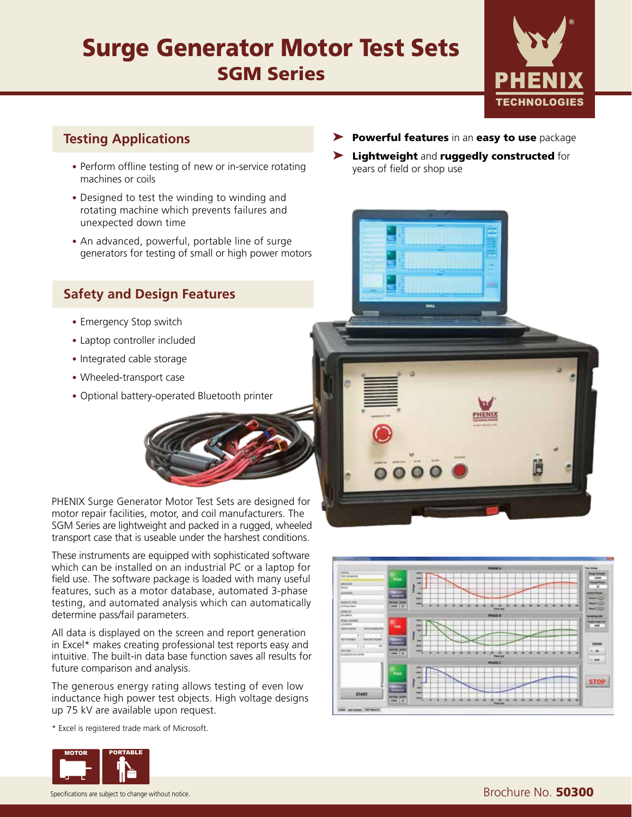# Surge Generator Motor Test Sets SGM Series



## **Testing Applications**

- Perform offline testing of new or in-service rotating machines or coils
- Designed to test the winding to winding and rotating machine which prevents failures and unexpected down time
- An advanced, powerful, portable line of surge generators for testing of small or high power motors

# **Safety and Design Features**

- Emergency Stop switch
- Laptop controller included
- Integrated cable storage
- Wheeled-transport case
- Optional battery-operated Bluetooth printer



PHENIX Surge Generator Motor Test Sets are designed for motor repair facilities, motor, and coil manufacturers. The SGM Series are lightweight and packed in a rugged, wheeled transport case that is useable under the harshest conditions.

These instruments are equipped with sophisticated software which can be installed on an industrial PC or a laptop for field use. The software package is loaded with many useful features, such as a motor database, automated 3-phase testing, and automated analysis which can automatically determine pass/fail parameters.

All data is displayed on the screen and report generation in Excel\* makes creating professional test reports easy and intuitive. The built-in data base function saves all results for future comparison and analysis.

The generous energy rating allows testing of even low inductance high power test objects. High voltage designs up 75 kV are available upon request.

\* Excel is registered trade mark of Microsoft.



- Powerful features in an easy to use package
- Lightweight and ruggedly constructed for years of field or shop use



, , , ,